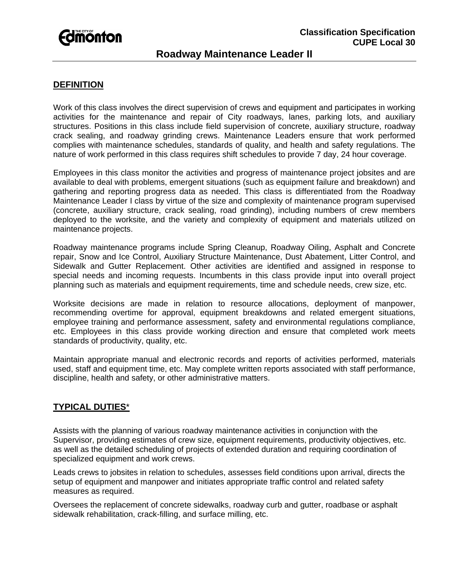# **Fdmonton**

### **Classification Specification CUPE Local 30**

## **Roadway Maintenance Leader II**

#### **DEFINITION**

Work of this class involves the direct supervision of crews and equipment and participates in working activities for the maintenance and repair of City roadways, lanes, parking lots, and auxiliary structures. Positions in this class include field supervision of concrete, auxiliary structure, roadway crack sealing, and roadway grinding crews. Maintenance Leaders ensure that work performed complies with maintenance schedules, standards of quality, and health and safety regulations. The nature of work performed in this class requires shift schedules to provide 7 day, 24 hour coverage.

Employees in this class monitor the activities and progress of maintenance project jobsites and are available to deal with problems, emergent situations (such as equipment failure and breakdown) and gathering and reporting progress data as needed. This class is differentiated from the Roadway Maintenance Leader I class by virtue of the size and complexity of maintenance program supervised (concrete, auxiliary structure, crack sealing, road grinding), including numbers of crew members deployed to the worksite, and the variety and complexity of equipment and materials utilized on maintenance projects.

Roadway maintenance programs include Spring Cleanup, Roadway Oiling, Asphalt and Concrete repair, Snow and Ice Control, Auxiliary Structure Maintenance, Dust Abatement, Litter Control, and Sidewalk and Gutter Replacement. Other activities are identified and assigned in response to special needs and incoming requests. Incumbents in this class provide input into overall project planning such as materials and equipment requirements, time and schedule needs, crew size, etc.

Worksite decisions are made in relation to resource allocations, deployment of manpower, recommending overtime for approval, equipment breakdowns and related emergent situations, employee training and performance assessment, safety and environmental regulations compliance, etc. Employees in this class provide working direction and ensure that completed work meets standards of productivity, quality, etc.

Maintain appropriate manual and electronic records and reports of activities performed, materials used, staff and equipment time, etc. May complete written reports associated with staff performance, discipline, health and safety, or other administrative matters.

#### **TYPICAL DUTIES**\*

Assists with the planning of various roadway maintenance activities in conjunction with the Supervisor, providing estimates of crew size, equipment requirements, productivity objectives, etc. as well as the detailed scheduling of projects of extended duration and requiring coordination of specialized equipment and work crews.

Leads crews to jobsites in relation to schedules, assesses field conditions upon arrival, directs the setup of equipment and manpower and initiates appropriate traffic control and related safety measures as required.

Oversees the replacement of concrete sidewalks, roadway curb and gutter, roadbase or asphalt sidewalk rehabilitation, crack-filling, and surface milling, etc.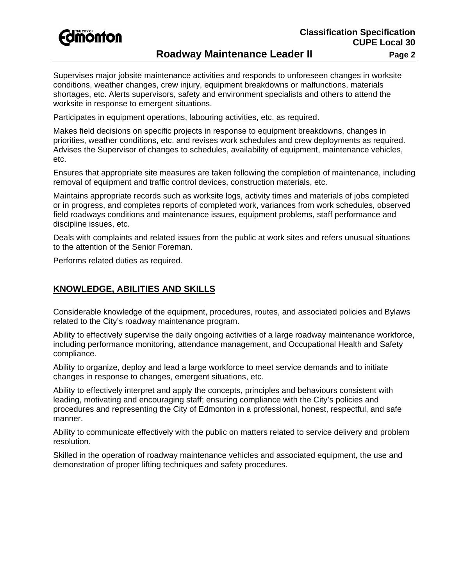

## **Roadway Maintenance Leader II** Page 2

Supervises major jobsite maintenance activities and responds to unforeseen changes in worksite conditions, weather changes, crew injury, equipment breakdowns or malfunctions, materials shortages, etc. Alerts supervisors, safety and environment specialists and others to attend the worksite in response to emergent situations.

Participates in equipment operations, labouring activities, etc. as required.

Makes field decisions on specific projects in response to equipment breakdowns, changes in priorities, weather conditions, etc. and revises work schedules and crew deployments as required. Advises the Supervisor of changes to schedules, availability of equipment, maintenance vehicles, etc.

Ensures that appropriate site measures are taken following the completion of maintenance, including removal of equipment and traffic control devices, construction materials, etc.

Maintains appropriate records such as worksite logs, activity times and materials of jobs completed or in progress, and completes reports of completed work, variances from work schedules, observed field roadways conditions and maintenance issues, equipment problems, staff performance and discipline issues, etc.

Deals with complaints and related issues from the public at work sites and refers unusual situations to the attention of the Senior Foreman.

Performs related duties as required.

#### **KNOWLEDGE, ABILITIES AND SKILLS**

Considerable knowledge of the equipment, procedures, routes, and associated policies and Bylaws related to the City's roadway maintenance program.

Ability to effectively supervise the daily ongoing activities of a large roadway maintenance workforce, including performance monitoring, attendance management, and Occupational Health and Safety compliance.

Ability to organize, deploy and lead a large workforce to meet service demands and to initiate changes in response to changes, emergent situations, etc.

Ability to effectively interpret and apply the concepts, principles and behaviours consistent with leading, motivating and encouraging staff; ensuring compliance with the City's policies and procedures and representing the City of Edmonton in a professional, honest, respectful, and safe manner.

Ability to communicate effectively with the public on matters related to service delivery and problem resolution.

Skilled in the operation of roadway maintenance vehicles and associated equipment, the use and demonstration of proper lifting techniques and safety procedures.